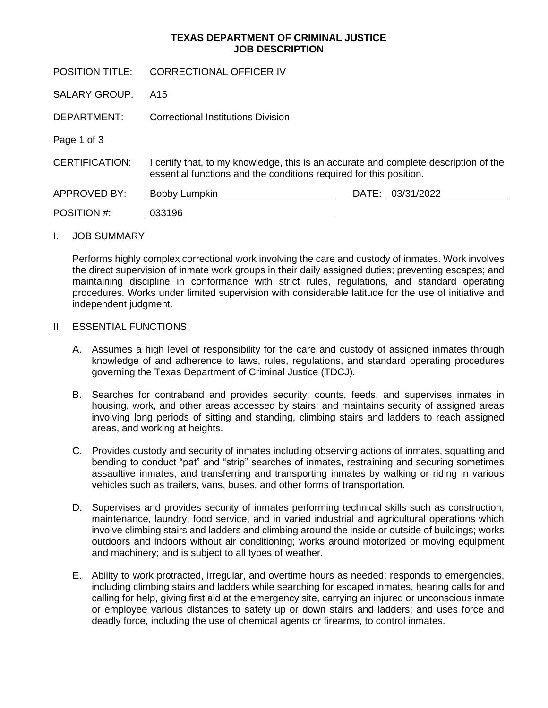## **TEXAS DEPARTMENT OF CRIMINAL JUSTICE JOB DESCRIPTION**

| <b>CORRECTIONAL OFFICER IV</b>                                                                                                                           |                  |
|----------------------------------------------------------------------------------------------------------------------------------------------------------|------------------|
| A15                                                                                                                                                      |                  |
| Correctional Institutions Division                                                                                                                       |                  |
|                                                                                                                                                          |                  |
| certify that, to my knowledge, this is an accurate and complete description of the<br>essential functions and the conditions required for this position. |                  |
| Bobby Lumpkin                                                                                                                                            | DATE: 03/31/2022 |
| 033196                                                                                                                                                   |                  |
|                                                                                                                                                          |                  |

#### I. JOB SUMMARY

Performs highly complex correctional work involving the care and custody of inmates. Work involves the direct supervision of inmate work groups in their daily assigned duties; preventing escapes; and maintaining discipline in conformance with strict rules, regulations, and standard operating procedures. Works under limited supervision with considerable latitude for the use of initiative and independent judgment.

#### II. ESSENTIAL FUNCTIONS

- A. Assumes a high level of responsibility for the care and custody of assigned inmates through knowledge of and adherence to laws, rules, regulations, and standard operating procedures governing the Texas Department of Criminal Justice (TDCJ).
- B. Searches for contraband and provides security; counts, feeds, and supervises inmates in housing, work, and other areas accessed by stairs; and maintains security of assigned areas involving long periods of sitting and standing, climbing stairs and ladders to reach assigned areas, and working at heights.
- C. Provides custody and security of inmates including observing actions of inmates, squatting and bending to conduct "pat" and "strip" searches of inmates, restraining and securing sometimes assaultive inmates, and transferring and transporting inmates by walking or riding in various vehicles such as trailers, vans, buses, and other forms of transportation.
- D. Supervises and provides security of inmates performing technical skills such as construction, maintenance, laundry, food service, and in varied industrial and agricultural operations which involve climbing stairs and ladders and climbing around the inside or outside of buildings; works outdoors and indoors without air conditioning; works around motorized or moving equipment and machinery; and is subject to all types of weather.
- E. Ability to work protracted, irregular, and overtime hours as needed; responds to emergencies, including climbing stairs and ladders while searching for escaped inmates, hearing calls for and calling for help, giving first aid at the emergency site, carrying an injured or unconscious inmate or employee various distances to safety up or down stairs and ladders; and uses force and deadly force, including the use of chemical agents or firearms, to control inmates.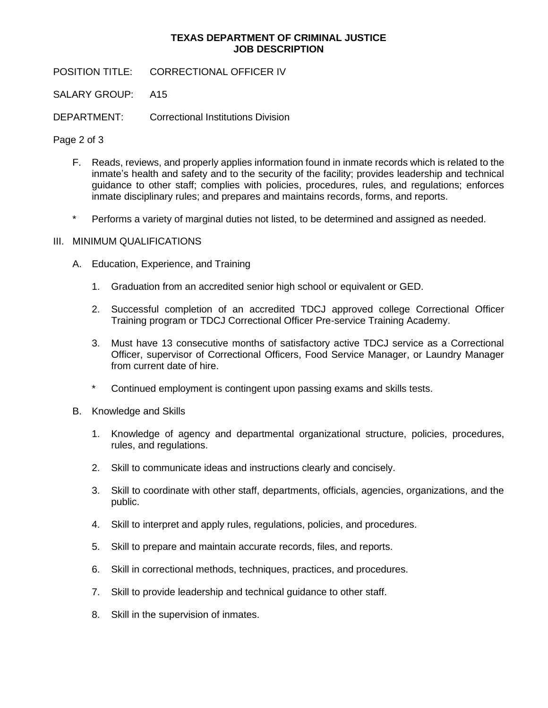## **TEXAS DEPARTMENT OF CRIMINAL JUSTICE JOB DESCRIPTION**

POSITION TITLE: CORRECTIONAL OFFICER IV

SALARY GROUP: A15

DEPARTMENT: Correctional Institutions Division

Page 2 of 3

- F. Reads, reviews, and properly applies information found in inmate records which is related to the inmate's health and safety and to the security of the facility; provides leadership and technical guidance to other staff; complies with policies, procedures, rules, and regulations; enforces inmate disciplinary rules; and prepares and maintains records, forms, and reports.
- \* Performs a variety of marginal duties not listed, to be determined and assigned as needed.

# III. MINIMUM QUALIFICATIONS

- A. Education, Experience, and Training
	- 1. Graduation from an accredited senior high school or equivalent or GED.
	- 2. Successful completion of an accredited TDCJ approved college Correctional Officer Training program or TDCJ Correctional Officer Pre-service Training Academy.
	- 3. Must have 13 consecutive months of satisfactory active TDCJ service as a Correctional Officer, supervisor of Correctional Officers, Food Service Manager, or Laundry Manager from current date of hire.
	- \* Continued employment is contingent upon passing exams and skills tests.
- B. Knowledge and Skills
	- 1. Knowledge of agency and departmental organizational structure, policies, procedures, rules, and regulations.
	- 2. Skill to communicate ideas and instructions clearly and concisely.
	- 3. Skill to coordinate with other staff, departments, officials, agencies, organizations, and the public.
	- 4. Skill to interpret and apply rules, regulations, policies, and procedures.
	- 5. Skill to prepare and maintain accurate records, files, and reports.
	- 6. Skill in correctional methods, techniques, practices, and procedures.
	- 7. Skill to provide leadership and technical guidance to other staff.
	- 8. Skill in the supervision of inmates.